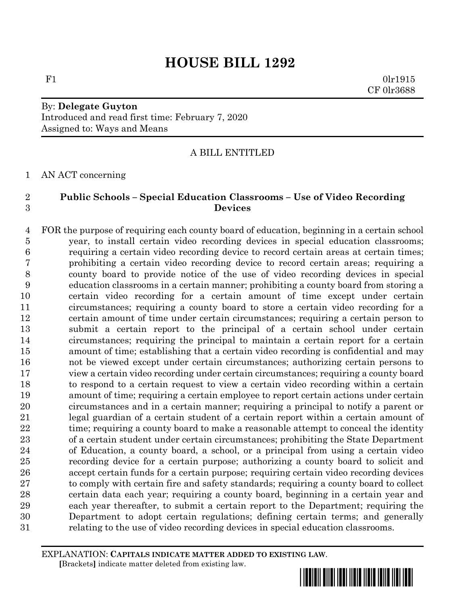# **HOUSE BILL 1292**

 $F1$  0lr1915 CF 0lr3688

### By: **Delegate Guyton** Introduced and read first time: February 7, 2020 Assigned to: Ways and Means

### A BILL ENTITLED

AN ACT concerning

### **Public Schools – Special Education Classrooms – Use of Video Recording Devices**

 FOR the purpose of requiring each county board of education, beginning in a certain school year, to install certain video recording devices in special education classrooms; requiring a certain video recording device to record certain areas at certain times; prohibiting a certain video recording device to record certain areas; requiring a county board to provide notice of the use of video recording devices in special education classrooms in a certain manner; prohibiting a county board from storing a certain video recording for a certain amount of time except under certain circumstances; requiring a county board to store a certain video recording for a certain amount of time under certain circumstances; requiring a certain person to submit a certain report to the principal of a certain school under certain circumstances; requiring the principal to maintain a certain report for a certain amount of time; establishing that a certain video recording is confidential and may not be viewed except under certain circumstances; authorizing certain persons to view a certain video recording under certain circumstances; requiring a county board to respond to a certain request to view a certain video recording within a certain amount of time; requiring a certain employee to report certain actions under certain circumstances and in a certain manner; requiring a principal to notify a parent or legal guardian of a certain student of a certain report within a certain amount of 22 time; requiring a county board to make a reasonable attempt to conceal the identity of a certain student under certain circumstances; prohibiting the State Department of Education, a county board, a school, or a principal from using a certain video recording device for a certain purpose; authorizing a county board to solicit and accept certain funds for a certain purpose; requiring certain video recording devices 27 to comply with certain fire and safety standards; requiring a county board to collect certain data each year; requiring a county board, beginning in a certain year and each year thereafter, to submit a certain report to the Department; requiring the Department to adopt certain regulations; defining certain terms; and generally relating to the use of video recording devices in special education classrooms.

EXPLANATION: **CAPITALS INDICATE MATTER ADDED TO EXISTING LAW**.  **[**Brackets**]** indicate matter deleted from existing law.

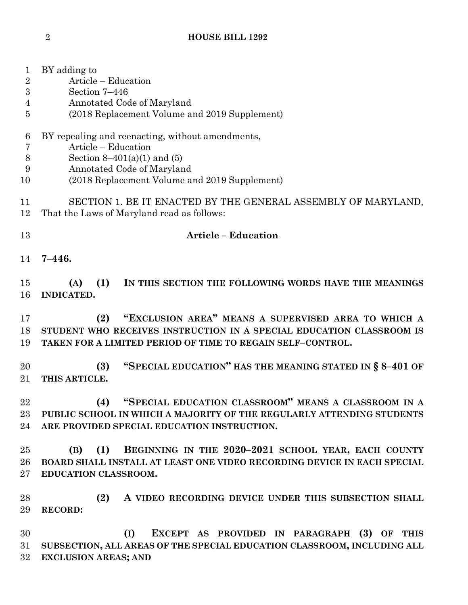## **HOUSE BILL 1292**

| 1              | BY adding to                                                                                                |
|----------------|-------------------------------------------------------------------------------------------------------------|
| $\overline{2}$ | Article – Education                                                                                         |
| 3              | Section 7-446                                                                                               |
| 4              | Annotated Code of Maryland                                                                                  |
| 5              | (2018 Replacement Volume and 2019 Supplement)                                                               |
| 6              | BY repealing and reenacting, without amendments,                                                            |
| 7              | Article – Education                                                                                         |
| $8\,$          | Section $8-401(a)(1)$ and $(5)$                                                                             |
| 9              | Annotated Code of Maryland                                                                                  |
| 10             | (2018 Replacement Volume and 2019 Supplement)                                                               |
| 11<br>12       | SECTION 1. BE IT ENACTED BY THE GENERAL ASSEMBLY OF MARYLAND,<br>That the Laws of Maryland read as follows: |
| 13             | <b>Article - Education</b>                                                                                  |
| 14             | $7 - 446.$                                                                                                  |
| 15             | (1)<br>IN THIS SECTION THE FOLLOWING WORDS HAVE THE MEANINGS<br>(A)                                         |
| 16             | <b>INDICATED.</b>                                                                                           |
|                |                                                                                                             |
| 17             | "EXCLUSION AREA" MEANS A SUPERVISED AREA TO WHICH A<br>(2)                                                  |
| 18             | STUDENT WHO RECEIVES INSTRUCTION IN A SPECIAL EDUCATION CLASSROOM IS                                        |
| 19             | TAKEN FOR A LIMITED PERIOD OF TIME TO REGAIN SELF-CONTROL.                                                  |
| 20             | "SPECIAL EDUCATION" HAS THE MEANING STATED IN § 8-401 OF<br>(3)                                             |
| $21\,$         | THIS ARTICLE.                                                                                               |
| 22             | "SPECIAL EDUCATION CLASSROOM" MEANS A CLASSROOM IN A<br>(4)                                                 |
| 23             | PUBLIC SCHOOL IN WHICH A MAJORITY OF THE REGULARLY ATTENDING STUDENTS                                       |
| 24             | ARE PROVIDED SPECIAL EDUCATION INSTRUCTION.                                                                 |
| 25             | (1)<br>BEGINNING IN THE 2020-2021 SCHOOL YEAR, EACH COUNTY<br>(B)                                           |
| 26             | BOARD SHALL INSTALL AT LEAST ONE VIDEO RECORDING DEVICE IN EACH SPECIAL                                     |
| $27\,$         | EDUCATION CLASSROOM.                                                                                        |
| 28             | (2)<br>A VIDEO RECORDING DEVICE UNDER THIS SUBSECTION SHALL                                                 |
| 29             | <b>RECORD:</b>                                                                                              |
| 30             | (I)<br>EXCEPT AS PROVIDED IN PARAGRAPH (3) OF THIS                                                          |
| 31             | SUBSECTION, ALL AREAS OF THE SPECIAL EDUCATION CLASSROOM, INCLUDING ALL                                     |
| 32             | <b>EXCLUSION AREAS; AND</b>                                                                                 |
|                |                                                                                                             |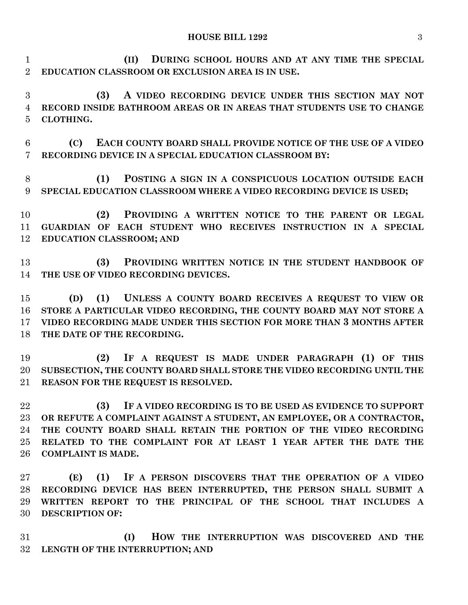#### **HOUSE BILL 1292** 3

 **(II) DURING SCHOOL HOURS AND AT ANY TIME THE SPECIAL EDUCATION CLASSROOM OR EXCLUSION AREA IS IN USE.**

 **(3) A VIDEO RECORDING DEVICE UNDER THIS SECTION MAY NOT RECORD INSIDE BATHROOM AREAS OR IN AREAS THAT STUDENTS USE TO CHANGE CLOTHING.**

 **(C) EACH COUNTY BOARD SHALL PROVIDE NOTICE OF THE USE OF A VIDEO RECORDING DEVICE IN A SPECIAL EDUCATION CLASSROOM BY:**

 **(1) POSTING A SIGN IN A CONSPICUOUS LOCATION OUTSIDE EACH SPECIAL EDUCATION CLASSROOM WHERE A VIDEO RECORDING DEVICE IS USED;**

 **(2) PROVIDING A WRITTEN NOTICE TO THE PARENT OR LEGAL GUARDIAN OF EACH STUDENT WHO RECEIVES INSTRUCTION IN A SPECIAL EDUCATION CLASSROOM; AND**

 **(3) PROVIDING WRITTEN NOTICE IN THE STUDENT HANDBOOK OF THE USE OF VIDEO RECORDING DEVICES.**

 **(D) (1) UNLESS A COUNTY BOARD RECEIVES A REQUEST TO VIEW OR STORE A PARTICULAR VIDEO RECORDING, THE COUNTY BOARD MAY NOT STORE A VIDEO RECORDING MADE UNDER THIS SECTION FOR MORE THAN 3 MONTHS AFTER THE DATE OF THE RECORDING.**

 **(2) IF A REQUEST IS MADE UNDER PARAGRAPH (1) OF THIS SUBSECTION, THE COUNTY BOARD SHALL STORE THE VIDEO RECORDING UNTIL THE REASON FOR THE REQUEST IS RESOLVED.**

 **(3) IF A VIDEO RECORDING IS TO BE USED AS EVIDENCE TO SUPPORT OR REFUTE A COMPLAINT AGAINST A STUDENT, AN EMPLOYEE, OR A CONTRACTOR, THE COUNTY BOARD SHALL RETAIN THE PORTION OF THE VIDEO RECORDING RELATED TO THE COMPLAINT FOR AT LEAST 1 YEAR AFTER THE DATE THE COMPLAINT IS MADE.**

 **(E) (1) IF A PERSON DISCOVERS THAT THE OPERATION OF A VIDEO RECORDING DEVICE HAS BEEN INTERRUPTED, THE PERSON SHALL SUBMIT A WRITTEN REPORT TO THE PRINCIPAL OF THE SCHOOL THAT INCLUDES A DESCRIPTION OF:**

 **(I) HOW THE INTERRUPTION WAS DISCOVERED AND THE LENGTH OF THE INTERRUPTION; AND**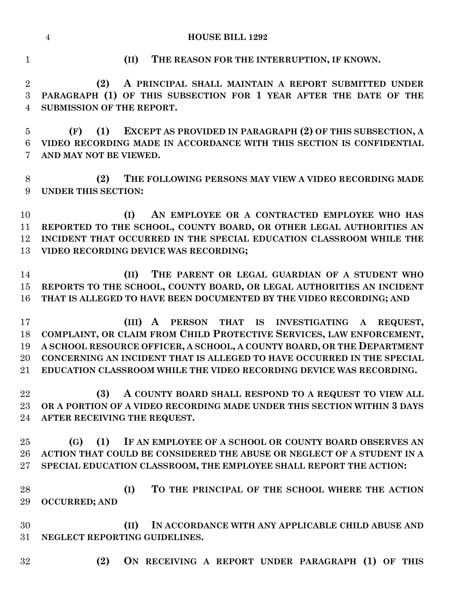|                | $\overline{4}$<br><b>HOUSE BILL 1292</b>                                |
|----------------|-------------------------------------------------------------------------|
| $\mathbf{1}$   | THE REASON FOR THE INTERRUPTION, IF KNOWN.<br>(II)                      |
| $\overline{2}$ | A PRINCIPAL SHALL MAINTAIN A REPORT SUBMITTED UNDER<br>(2)              |
| 3              | PARAGRAPH (1) OF THIS SUBSECTION FOR 1 YEAR AFTER THE DATE OF THE       |
| $\overline{4}$ | <b>SUBMISSION OF THE REPORT.</b>                                        |
| $\overline{5}$ | EXCEPT AS PROVIDED IN PARAGRAPH (2) OF THIS SUBSECTION, A<br>(F)<br>(1) |
| 6              | VIDEO RECORDING MADE IN ACCORDANCE WITH THIS SECTION IS CONFIDENTIAL    |
| 7              | AND MAY NOT BE VIEWED.                                                  |
| 8              | THE FOLLOWING PERSONS MAY VIEW A VIDEO RECORDING MADE<br>(2)            |
| 9              | <b>UNDER THIS SECTION:</b>                                              |
| 10             | AN EMPLOYEE OR A CONTRACTED EMPLOYEE WHO HAS<br>(I)                     |
| 11             | REPORTED TO THE SCHOOL, COUNTY BOARD, OR OTHER LEGAL AUTHORITIES AN     |
| 12             | INCIDENT THAT OCCURRED IN THE SPECIAL EDUCATION CLASSROOM WHILE THE     |
| 13             | VIDEO RECORDING DEVICE WAS RECORDING;                                   |
| 14             | THE PARENT OR LEGAL GUARDIAN OF A STUDENT WHO<br>(II)                   |
| 15             | REPORTS TO THE SCHOOL, COUNTY BOARD, OR LEGAL AUTHORITIES AN INCIDENT   |
| 16             | THAT IS ALLEGED TO HAVE BEEN DOCUMENTED BY THE VIDEO RECORDING; AND     |
| 17             | (III)<br>A PERSON THAT IS INVESTIGATING A REQUEST,                      |
| 18             | COMPLAINT, OR CLAIM FROM CHILD PROTECTIVE SERVICES, LAW ENFORCEMENT,    |
| 19             | A SCHOOL RESOURCE OFFICER, A SCHOOL, A COUNTY BOARD, OR THE DEPARTMENT  |
| 20             | CONCERNING AN INCIDENT THAT IS ALLEGED TO HAVE OCCURRED IN THE SPECIAL  |
| $21\,$         | EDUCATION CLASSROOM WHILE THE VIDEO RECORDING DEVICE WAS RECORDING.     |
| 22             | A COUNTY BOARD SHALL RESPOND TO A REQUEST TO VIEW ALL<br>(3)            |
| $23\,$         | OR A PORTION OF A VIDEO RECORDING MADE UNDER THIS SECTION WITHIN 3 DAYS |
| 24             | AFTER RECEIVING THE REQUEST.                                            |
| 25             | (1) IF AN EMPLOYEE OF A SCHOOL OR COUNTY BOARD OBSERVES AN<br>(G)       |
| $26\,$         | ACTION THAT COULD BE CONSIDERED THE ABUSE OR NEGLECT OF A STUDENT IN A  |
| $27\,$         | SPECIAL EDUCATION CLASSROOM, THE EMPLOYEE SHALL REPORT THE ACTION:      |
| 28             | TO THE PRINCIPAL OF THE SCHOOL WHERE THE ACTION<br>(I)                  |
| 29             | <b>OCCURRED; AND</b>                                                    |
| 30             | (II)<br>IN ACCORDANCE WITH ANY APPLICABLE CHILD ABUSE AND               |
| 31             | NEGLECT REPORTING GUIDELINES.                                           |
| 32             | ON RECEIVING A REPORT UNDER PARAGRAPH (1) OF THIS<br>(2)                |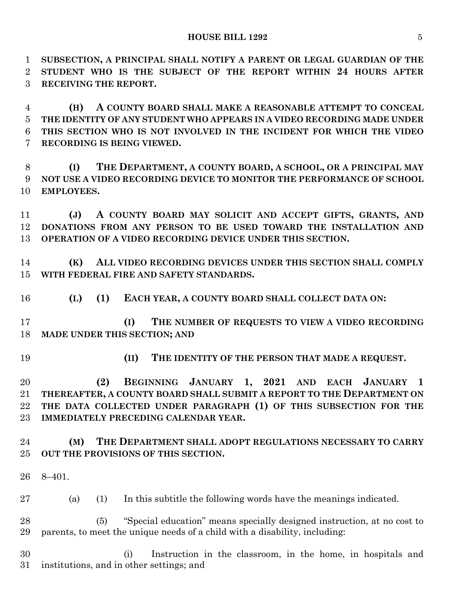**SUBSECTION, A PRINCIPAL SHALL NOTIFY A PARENT OR LEGAL GUARDIAN OF THE STUDENT WHO IS THE SUBJECT OF THE REPORT WITHIN 24 HOURS AFTER RECEIVING THE REPORT.**

 **(H) A COUNTY BOARD SHALL MAKE A REASONABLE ATTEMPT TO CONCEAL THE IDENTITY OF ANY STUDENT WHO APPEARS IN A VIDEO RECORDING MADE UNDER THIS SECTION WHO IS NOT INVOLVED IN THE INCIDENT FOR WHICH THE VIDEO RECORDING IS BEING VIEWED.**

 **(I) THE DEPARTMENT, A COUNTY BOARD, A SCHOOL, OR A PRINCIPAL MAY NOT USE A VIDEO RECORDING DEVICE TO MONITOR THE PERFORMANCE OF SCHOOL EMPLOYEES.**

 **(J) A COUNTY BOARD MAY SOLICIT AND ACCEPT GIFTS, GRANTS, AND DONATIONS FROM ANY PERSON TO BE USED TOWARD THE INSTALLATION AND OPERATION OF A VIDEO RECORDING DEVICE UNDER THIS SECTION.**

 **(K) ALL VIDEO RECORDING DEVICES UNDER THIS SECTION SHALL COMPLY WITH FEDERAL FIRE AND SAFETY STANDARDS.**

**(L) (1) EACH YEAR, A COUNTY BOARD SHALL COLLECT DATA ON:**

 **(I) THE NUMBER OF REQUESTS TO VIEW A VIDEO RECORDING MADE UNDER THIS SECTION; AND** 

- 
- **(II) THE IDENTITY OF THE PERSON THAT MADE A REQUEST.**

 **(2) BEGINNING JANUARY 1, 2021 AND EACH JANUARY 1 THEREAFTER, A COUNTY BOARD SHALL SUBMIT A REPORT TO THE DEPARTMENT ON THE DATA COLLECTED UNDER PARAGRAPH (1) OF THIS SUBSECTION FOR THE IMMEDIATELY PRECEDING CALENDAR YEAR.**

### **(M) THE DEPARTMENT SHALL ADOPT REGULATIONS NECESSARY TO CARRY OUT THE PROVISIONS OF THIS SECTION.**

8–401.

(a) (1) In this subtitle the following words have the meanings indicated.

 (5) "Special education" means specially designed instruction, at no cost to parents, to meet the unique needs of a child with a disability, including:

 (i) Instruction in the classroom, in the home, in hospitals and institutions, and in other settings; and